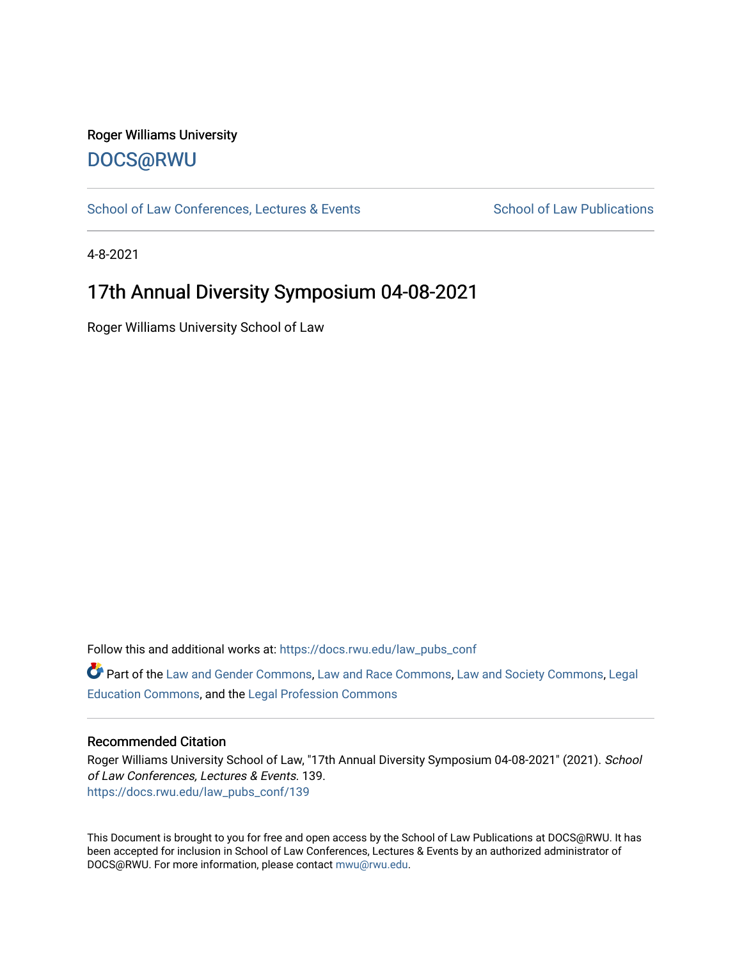#### Roger Williams University [DOCS@RWU](https://docs.rwu.edu/)

[School of Law Conferences, Lectures & Events](https://docs.rwu.edu/law_pubs_conf) School of Law Publications

4-8-2021

### 17th Annual Diversity Symposium 04-08-2021

Roger Williams University School of Law

Follow this and additional works at: [https://docs.rwu.edu/law\\_pubs\\_conf](https://docs.rwu.edu/law_pubs_conf?utm_source=docs.rwu.edu%2Flaw_pubs_conf%2F139&utm_medium=PDF&utm_campaign=PDFCoverPages) 

Part of the [Law and Gender Commons,](http://network.bepress.com/hgg/discipline/1298?utm_source=docs.rwu.edu%2Flaw_pubs_conf%2F139&utm_medium=PDF&utm_campaign=PDFCoverPages) [Law and Race Commons,](http://network.bepress.com/hgg/discipline/1300?utm_source=docs.rwu.edu%2Flaw_pubs_conf%2F139&utm_medium=PDF&utm_campaign=PDFCoverPages) [Law and Society Commons](http://network.bepress.com/hgg/discipline/853?utm_source=docs.rwu.edu%2Flaw_pubs_conf%2F139&utm_medium=PDF&utm_campaign=PDFCoverPages), [Legal](http://network.bepress.com/hgg/discipline/857?utm_source=docs.rwu.edu%2Flaw_pubs_conf%2F139&utm_medium=PDF&utm_campaign=PDFCoverPages)  [Education Commons,](http://network.bepress.com/hgg/discipline/857?utm_source=docs.rwu.edu%2Flaw_pubs_conf%2F139&utm_medium=PDF&utm_campaign=PDFCoverPages) and the [Legal Profession Commons](http://network.bepress.com/hgg/discipline/1075?utm_source=docs.rwu.edu%2Flaw_pubs_conf%2F139&utm_medium=PDF&utm_campaign=PDFCoverPages)

#### Recommended Citation

Roger Williams University School of Law, "17th Annual Diversity Symposium 04-08-2021" (2021). School of Law Conferences, Lectures & Events. 139. [https://docs.rwu.edu/law\\_pubs\\_conf/139](https://docs.rwu.edu/law_pubs_conf/139?utm_source=docs.rwu.edu%2Flaw_pubs_conf%2F139&utm_medium=PDF&utm_campaign=PDFCoverPages) 

This Document is brought to you for free and open access by the School of Law Publications at DOCS@RWU. It has been accepted for inclusion in School of Law Conferences, Lectures & Events by an authorized administrator of DOCS@RWU. For more information, please contact [mwu@rwu.edu.](mailto:mwu@rwu.edu)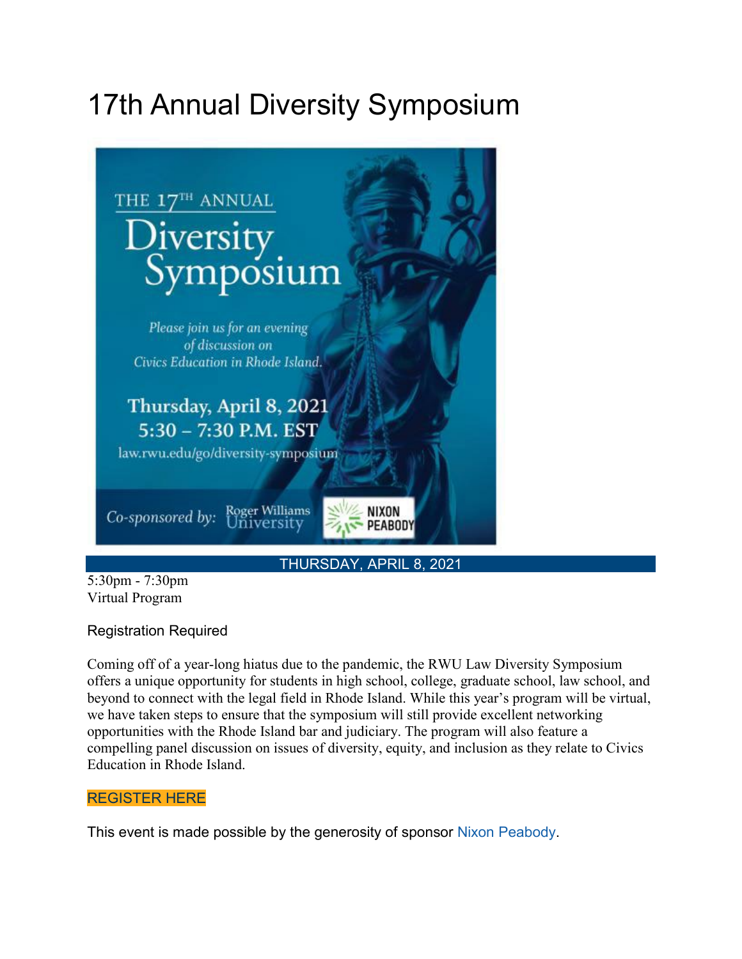# 17th Annual Diversity Symposium



5:30pm - 7:30pm Virtual Program

#### Registration Required

Coming off of a year-long hiatus due to the pandemic, the RWU Law Diversity Symposium offers a unique opportunity for students in high school, college, graduate school, law school, and beyond to connect with the legal field in Rhode Island. While this year's program will be virtual, we have taken steps to ensure that the symposium will still provide excellent networking opportunities with the Rhode Island bar and judiciary. The program will also feature a compelling panel discussion on issues of diversity, equity, and inclusion as they relate to Civics Education in Rhode Island.

#### [REGISTER](https://rwu.zoom.us/meeting/register/tJIlfuGsqj0rE9IkgtOVsm0h5x2teKF88UZp) HERE

This event is made possible by the generosity of sponsor Nixon [Peabody.](https://www.nixonpeabody.com/en)